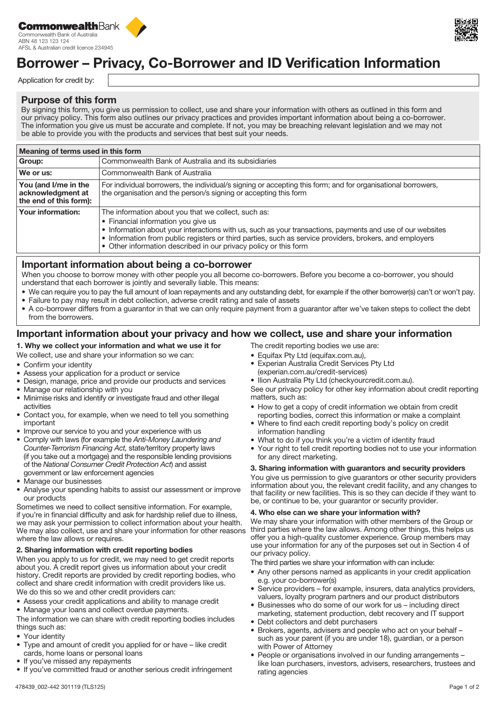



# Borrower – Privacy, Co-Borrower and ID Verification Information

Application for credit by:

# Purpose of this form

By signing this form, you give us permission to collect, use and share your information with others as outlined in this form and our privacy policy. This form also outlines our privacy practices and provides important information about being a co-borrower. The information you give us must be accurate and complete. If not, you may be breaching relevant legislation and we may not be able to provide you with the products and services that best suit your needs.

| Meaning of terms used in this form                                  |                                                                                                                                                                                                                                                                                                                                                                                         |  |  |  |  |
|---------------------------------------------------------------------|-----------------------------------------------------------------------------------------------------------------------------------------------------------------------------------------------------------------------------------------------------------------------------------------------------------------------------------------------------------------------------------------|--|--|--|--|
| Group:                                                              | Commonwealth Bank of Australia and its subsidiaries                                                                                                                                                                                                                                                                                                                                     |  |  |  |  |
| We or us:                                                           | Commonwealth Bank of Australia                                                                                                                                                                                                                                                                                                                                                          |  |  |  |  |
| You (and I/me in the<br>acknowledgment at<br>the end of this form): | For individual borrowers, the individual/s signing or accepting this form; and for organisational borrowers,<br>the organisation and the person/s signing or accepting this form                                                                                                                                                                                                        |  |  |  |  |
| <b>Your information:</b>                                            | The information about you that we collect, such as:<br>• Financial information you give us<br>• Information about your interactions with us, such as your transactions, payments and use of our websites<br>• Information from public registers or third parties, such as service providers, brokers, and employers<br>• Other information described in our privacy policy or this form |  |  |  |  |

# Important information about being a co-borrower

When you choose to borrow money with other people you all become co-borrowers. Before you become a co-borrower, you should understand that each borrower is jointly and severally liable. This means:

- We can require you to pay the full amount of loan repayments and any outstanding debt, for example if the other borrower(s) can't or won't pay. • Failure to pay may result in debt collection, adverse credit rating and sale of assets
- A co-borrower differs from a guarantor in that we can only require payment from a guarantor after we've taken steps to collect the debt from the borrowers.

# Important information about your privacy and how we collect, use and share your information

### 1. Why we collect your information and what we use it for

We collect, use and share your information so we can:

- Confirm your identity
- Assess your application for a product or service
- Design, manage, price and provide our products and services • Manage our relationship with you
- Minimise risks and identify or investigate fraud and other illegal activities
- Contact you, for example, when we need to tell you something important
- Improve our service to you and your experience with us
- Comply with laws (for example the *Anti-Money Laundering and Counter-Terrorism Financing Act,* state/territory property laws (if you take out a mortgage) and the responsible lending provisions of the *National Consumer Credit Protection Act*) and assist government or law enforcement agencies
- Manage our businesses
- Analyse your spending habits to assist our assessment or improve our products

Sometimes we need to collect sensitive information. For example, if you're in financial difficulty and ask for hardship relief due to illness, we may ask your permission to collect information about your health. We may also collect, use and share your information for other reasons where the law allows or requires.

#### 2. Sharing information with credit reporting bodies

When you apply to us for credit, we may need to get credit reports about you. A credit report gives us information about your credit history. Credit reports are provided by credit reporting bodies, who collect and share credit information with credit providers like us. We do this so we and other credit providers can:

- Assess your credit applications and ability to manage credit
- Manage your loans and collect overdue payments.

The information we can share with credit reporting bodies includes things such as:

- Your identity
- Type and amount of credit you applied for or have like credit cards, home loans or personal loans
- If you've missed any repayments
- If you've committed fraud or another serious credit infringement
- The credit reporting bodies we use are:
- Equifax Pty Ltd (equifax.com.au),
- Experian Australia Credit Services Pty Ltd (experian.com.au/credit-services)
- Ilion Australia Pty Ltd (checkyourcredit.com.au).
- See our privacy policy for other key information about credit reporting matters, such as:
- How to get a copy of credit information we obtain from credit reporting bodies, correct this information or make a complaint
- Where to find each credit reporting body's policy on credit information handling
- What to do if you think you're a victim of identity fraud
- Your right to tell credit reporting bodies not to use your information for any direct marketing.

#### 3. Sharing information with guarantors and security providers

You give us permission to give guarantors or other security providers information about you, the relevant credit facility, and any changes to that facility or new facilities. This is so they can decide if they want to be, or continue to be, your guarantor or security provider.

#### 4. Who else can we share your information with?

We may share your information with other members of the Group or third parties where the law allows. Among other things, this helps us offer you a high-quality customer experience. Group members may use your information for any of the purposes set out in Section 4 of our privacy policy.

The third parties we share your information with can include:

- Any other persons named as applicants in your credit application e.g. your co-borrower(s)
- Service providers for example, insurers, data analytics providers, valuers, loyalty program partners and our product distributors
- Businesses who do some of our work for us including direct marketing, statement production, debt recovery and IT support
- Debt collectors and debt purchasers
- Brokers, agents, advisers and people who act on your behalf such as your parent (if you are under 18), guardian, or a person with Power of Attorney
- People or organisations involved in our funding arrangements like loan purchasers, investors, advisers, researchers, trustees and rating agencies